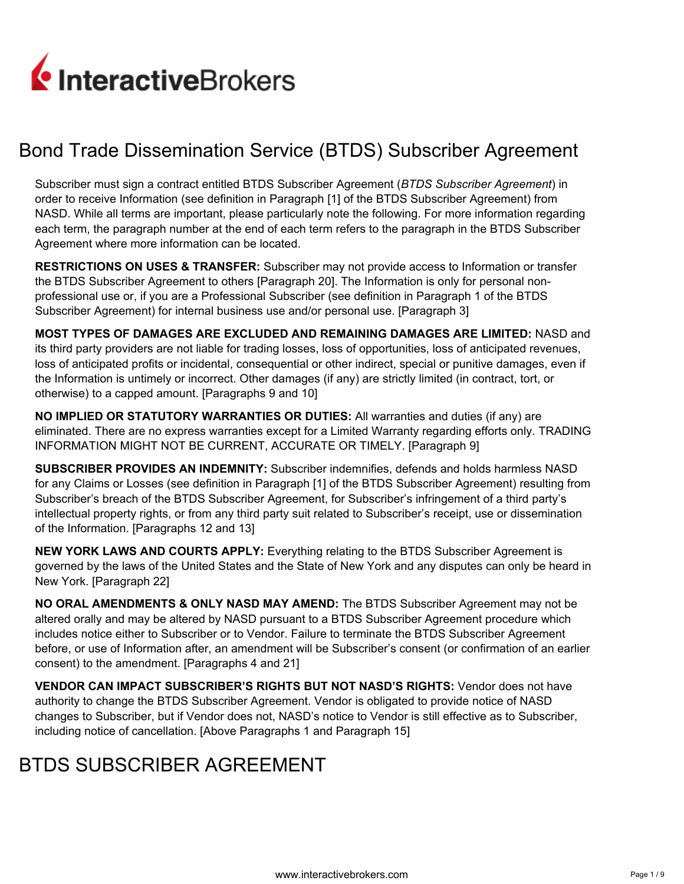

# Bond Trade Dissemination Service (BTDS) Subscriber Agreement

Subscriber must sign a contract entitled BTDS Subscriber Agreement (*BTDS Subscriber Agreement*) in order to receive Information (see definition in Paragraph [1] of the BTDS Subscriber Agreement) from NASD. While all terms are important, please particularly note the following. For more information regarding each term, the paragraph number at the end of each term refers to the paragraph in the BTDS Subscriber Agreement where more information can be located.

**RESTRICTIONS ON USES & TRANSFER:** Subscriber may not provide access to Information or transfer the BTDS Subscriber Agreement to others [Paragraph 20]. The Information is only for personal nonprofessional use or, if you are a Professional Subscriber (see definition in Paragraph 1 of the BTDS Subscriber Agreement) for internal business use and/or personal use. [Paragraph 3]

**MOST TYPES OF DAMAGES ARE EXCLUDED AND REMAINING DAMAGES ARE LIMITED:** NASD and its third party providers are not liable for trading losses, loss of opportunities, loss of anticipated revenues, loss of anticipated profits or incidental, consequential or other indirect, special or punitive damages, even if the Information is untimely or incorrect. Other damages (if any) are strictly limited (in contract, tort, or otherwise) to a capped amount. [Paragraphs 9 and 10]

**NO IMPLIED OR STATUTORY WARRANTIES OR DUTIES:** All warranties and duties (if any) are eliminated. There are no express warranties except for a Limited Warranty regarding efforts only. TRADING INFORMATION MIGHT NOT BE CURRENT, ACCURATE OR TIMELY. [Paragraph 9]

**SUBSCRIBER PROVIDES AN INDEMNITY:** Subscriber indemnifies, defends and holds harmless NASD for any Claims or Losses (see definition in Paragraph [1] of the BTDS Subscriber Agreement) resulting from Subscriber's breach of the BTDS Subscriber Agreement, for Subscriber's infringement of a third party's intellectual property rights, or from any third party suit related to Subscriber's receipt, use or dissemination of the Information. [Paragraphs 12 and 13]

**NEW YORK LAWS AND COURTS APPLY:** Everything relating to the BTDS Subscriber Agreement is governed by the laws of the United States and the State of New York and any disputes can only be heard in New York. [Paragraph 22]

**NO ORAL AMENDMENTS & ONLY NASD MAY AMEND:** The BTDS Subscriber Agreement may not be altered orally and may be altered by NASD pursuant to a BTDS Subscriber Agreement procedure which includes notice either to Subscriber or to Vendor. Failure to terminate the BTDS Subscriber Agreement before, or use of Information after, an amendment will be Subscriber's consent (or confirmation of an earlier consent) to the amendment. [Paragraphs 4 and 21]

**VENDOR CAN IMPACT SUBSCRIBER'S RIGHTS BUT NOT NASD'S RIGHTS:** Vendor does not have authority to change the BTDS Subscriber Agreement. Vendor is obligated to provide notice of NASD changes to Subscriber, but if Vendor does not, NASD's notice to Vendor is still effective as to Subscriber, including notice of cancellation. [Above Paragraphs 1 and Paragraph 15]

# BTDS SUBSCRIBER AGREEMENT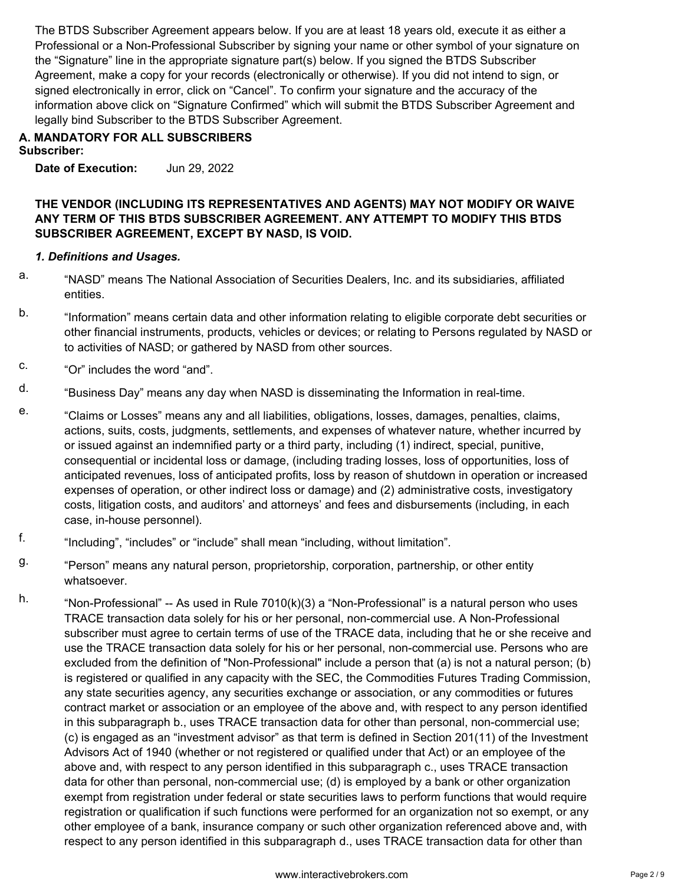The BTDS Subscriber Agreement appears below. If you are at least 18 years old, execute it as either a Professional or a Non-Professional Subscriber by signing your name or other symbol of your signature on the "Signature" line in the appropriate signature part(s) below. If you signed the BTDS Subscriber Agreement, make a copy for your records (electronically or otherwise). If you did not intend to sign, or signed electronically in error, click on "Cancel". To confirm your signature and the accuracy of the information above click on "Signature Confirmed" which will submit the BTDS Subscriber Agreement and legally bind Subscriber to the BTDS Subscriber Agreement.

# **A. MANDATORY FOR ALL SUBSCRIBERS Subscriber:**

**Date of Execution:** Jun 29, 2022

# **THE VENDOR (INCLUDING ITS REPRESENTATIVES AND AGENTS) MAY NOT MODIFY OR WAIVE ANY TERM OF THIS BTDS SUBSCRIBER AGREEMENT. ANY ATTEMPT TO MODIFY THIS BTDS SUBSCRIBER AGREEMENT, EXCEPT BY NASD, IS VOID.**

# *1. Definitions and Usages.*

- a. "NASD" means The National Association of Securities Dealers, Inc. and its subsidiaries, affiliated entities.
- b. "Information" means certain data and other information relating to eligible corporate debt securities or other financial instruments, products, vehicles or devices; or relating to Persons regulated by NASD or to activities of NASD; or gathered by NASD from other sources.
- c. "Or" includes the word "and".
- d. "Business Day" means any day when NASD is disseminating the Information in real-time.
- e. "Claims or Losses" means any and all liabilities, obligations, losses, damages, penalties, claims, actions, suits, costs, judgments, settlements, and expenses of whatever nature, whether incurred by or issued against an indemnified party or a third party, including (1) indirect, special, punitive, consequential or incidental loss or damage, (including trading losses, loss of opportunities, loss of anticipated revenues, loss of anticipated profits, loss by reason of shutdown in operation or increased expenses of operation, or other indirect loss or damage) and (2) administrative costs, investigatory costs, litigation costs, and auditors' and attorneys' and fees and disbursements (including, in each case, in-house personnel).
- f. "Including", "includes" or "include" shall mean "including, without limitation".
- 9. "Person" means any natural person, proprietorship, corporation, partnership, or other entity whatsoever.
- h. "Non-Professional" -- As used in Rule 7010(k)(3) a "Non-Professional" is a natural person who uses TRACE transaction data solely for his or her personal, non-commercial use. A Non-Professional subscriber must agree to certain terms of use of the TRACE data, including that he or she receive and use the TRACE transaction data solely for his or her personal, non-commercial use. Persons who are excluded from the definition of "Non-Professional" include a person that (a) is not a natural person; (b) is registered or qualified in any capacity with the SEC, the Commodities Futures Trading Commission, any state securities agency, any securities exchange or association, or any commodities or futures contract market or association or an employee of the above and, with respect to any person identified in this subparagraph b., uses TRACE transaction data for other than personal, non-commercial use; (c) is engaged as an "investment advisor" as that term is defined in Section 201(11) of the Investment Advisors Act of 1940 (whether or not registered or qualified under that Act) or an employee of the above and, with respect to any person identified in this subparagraph c., uses TRACE transaction data for other than personal, non-commercial use; (d) is employed by a bank or other organization exempt from registration under federal or state securities laws to perform functions that would require registration or qualification if such functions were performed for an organization not so exempt, or any other employee of a bank, insurance company or such other organization referenced above and, with respect to any person identified in this subparagraph d., uses TRACE transaction data for other than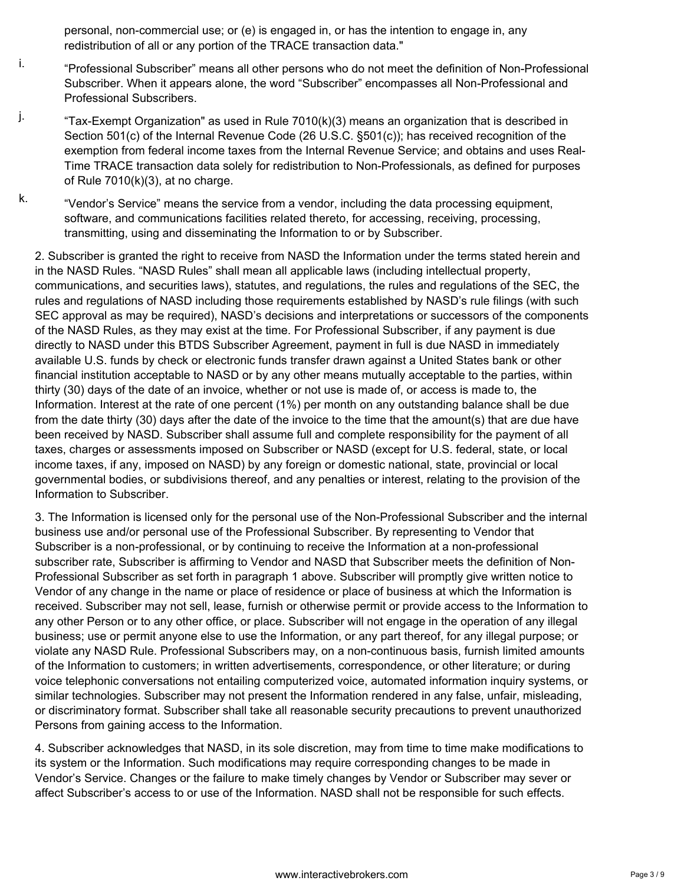personal, non-commercial use; or (e) is engaged in, or has the intention to engage in, any redistribution of all or any portion of the TRACE transaction data."

- i. "Professional Subscriber" means all other persons who do not meet the definition of Non-Professional Subscriber. When it appears alone, the word "Subscriber" encompasses all Non-Professional and Professional Subscribers.
- <sup>j.</sup> "Tax-Exempt Organization" as used in Rule 7010(k)(3) means an organization that is described in Section 501(c) of the Internal Revenue Code (26 U.S.C. §501(c)); has received recognition of the exemption from federal income taxes from the Internal Revenue Service; and obtains and uses Real-Time TRACE transaction data solely for redistribution to Non-Professionals, as defined for purposes of Rule  $7010(k)(3)$ , at no charge.
- $k.$  "Vendor's Service" means the service from a vendor, including the data processing equipment, software, and communications facilities related thereto, for accessing, receiving, processing, transmitting, using and disseminating the Information to or by Subscriber.

2. Subscriber is granted the right to receive from NASD the Information under the terms stated herein and in the NASD Rules. "NASD Rules" shall mean all applicable laws (including intellectual property, communications, and securities laws), statutes, and regulations, the rules and regulations of the SEC, the rules and regulations of NASD including those requirements established by NASD's rule filings (with such SEC approval as may be required), NASD's decisions and interpretations or successors of the components of the NASD Rules, as they may exist at the time. For Professional Subscriber, if any payment is due directly to NASD under this BTDS Subscriber Agreement, payment in full is due NASD in immediately available U.S. funds by check or electronic funds transfer drawn against a United States bank or other financial institution acceptable to NASD or by any other means mutually acceptable to the parties, within thirty (30) days of the date of an invoice, whether or not use is made of, or access is made to, the Information. Interest at the rate of one percent (1%) per month on any outstanding balance shall be due from the date thirty (30) days after the date of the invoice to the time that the amount(s) that are due have been received by NASD. Subscriber shall assume full and complete responsibility for the payment of all taxes, charges or assessments imposed on Subscriber or NASD (except for U.S. federal, state, or local income taxes, if any, imposed on NASD) by any foreign or domestic national, state, provincial or local governmental bodies, or subdivisions thereof, and any penalties or interest, relating to the provision of the Information to Subscriber.

3. The Information is licensed only for the personal use of the Non-Professional Subscriber and the internal business use and/or personal use of the Professional Subscriber. By representing to Vendor that Subscriber is a non-professional, or by continuing to receive the Information at a non-professional subscriber rate, Subscriber is affirming to Vendor and NASD that Subscriber meets the definition of Non-Professional Subscriber as set forth in paragraph 1 above. Subscriber will promptly give written notice to Vendor of any change in the name or place of residence or place of business at which the Information is received. Subscriber may not sell, lease, furnish or otherwise permit or provide access to the Information to any other Person or to any other office, or place. Subscriber will not engage in the operation of any illegal business; use or permit anyone else to use the Information, or any part thereof, for any illegal purpose; or violate any NASD Rule. Professional Subscribers may, on a non-continuous basis, furnish limited amounts of the Information to customers; in written advertisements, correspondence, or other literature; or during voice telephonic conversations not entailing computerized voice, automated information inquiry systems, or similar technologies. Subscriber may not present the Information rendered in any false, unfair, misleading, or discriminatory format. Subscriber shall take all reasonable security precautions to prevent unauthorized Persons from gaining access to the Information.

4. Subscriber acknowledges that NASD, in its sole discretion, may from time to time make modifications to its system or the Information. Such modifications may require corresponding changes to be made in Vendor's Service. Changes or the failure to make timely changes by Vendor or Subscriber may sever or affect Subscriber's access to or use of the Information. NASD shall not be responsible for such effects.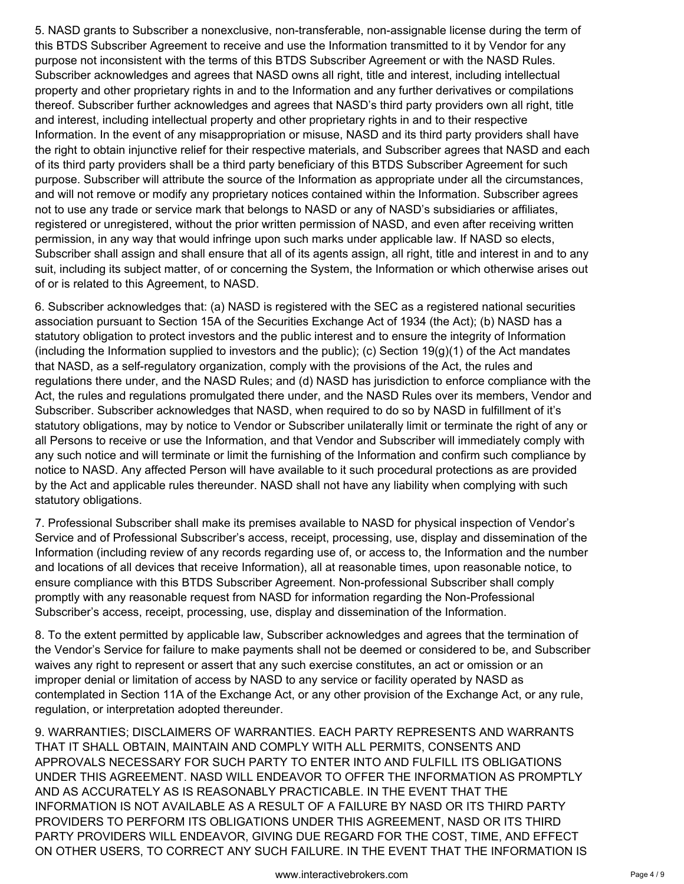5. NASD grants to Subscriber a nonexclusive, non-transferable, non-assignable license during the term of this BTDS Subscriber Agreement to receive and use the Information transmitted to it by Vendor for any purpose not inconsistent with the terms of this BTDS Subscriber Agreement or with the NASD Rules. Subscriber acknowledges and agrees that NASD owns all right, title and interest, including intellectual property and other proprietary rights in and to the Information and any further derivatives or compilations thereof. Subscriber further acknowledges and agrees that NASD's third party providers own all right, title and interest, including intellectual property and other proprietary rights in and to their respective Information. In the event of any misappropriation or misuse, NASD and its third party providers shall have the right to obtain injunctive relief for their respective materials, and Subscriber agrees that NASD and each of its third party providers shall be a third party beneficiary of this BTDS Subscriber Agreement for such purpose. Subscriber will attribute the source of the Information as appropriate under all the circumstances, and will not remove or modify any proprietary notices contained within the Information. Subscriber agrees not to use any trade or service mark that belongs to NASD or any of NASD's subsidiaries or affiliates, registered or unregistered, without the prior written permission of NASD, and even after receiving written permission, in any way that would infringe upon such marks under applicable law. If NASD so elects, Subscriber shall assign and shall ensure that all of its agents assign, all right, title and interest in and to any suit, including its subject matter, of or concerning the System, the Information or which otherwise arises out of or is related to this Agreement, to NASD.

6. Subscriber acknowledges that: (a) NASD is registered with the SEC as a registered national securities association pursuant to Section 15A of the Securities Exchange Act of 1934 (the Act); (b) NASD has a statutory obligation to protect investors and the public interest and to ensure the integrity of Information (including the Information supplied to investors and the public); (c) Section  $19(g)(1)$  of the Act mandates that NASD, as a self-regulatory organization, comply with the provisions of the Act, the rules and regulations there under, and the NASD Rules; and (d) NASD has jurisdiction to enforce compliance with the Act, the rules and regulations promulgated there under, and the NASD Rules over its members, Vendor and Subscriber. Subscriber acknowledges that NASD, when required to do so by NASD in fulfillment of it's statutory obligations, may by notice to Vendor or Subscriber unilaterally limit or terminate the right of any or all Persons to receive or use the Information, and that Vendor and Subscriber will immediately comply with any such notice and will terminate or limit the furnishing of the Information and confirm such compliance by notice to NASD. Any affected Person will have available to it such procedural protections as are provided by the Act and applicable rules thereunder. NASD shall not have any liability when complying with such statutory obligations.

7. Professional Subscriber shall make its premises available to NASD for physical inspection of Vendor's Service and of Professional Subscriber's access, receipt, processing, use, display and dissemination of the Information (including review of any records regarding use of, or access to, the Information and the number and locations of all devices that receive Information), all at reasonable times, upon reasonable notice, to ensure compliance with this BTDS Subscriber Agreement. Non-professional Subscriber shall comply promptly with any reasonable request from NASD for information regarding the Non-Professional Subscriber's access, receipt, processing, use, display and dissemination of the Information.

8. To the extent permitted by applicable law, Subscriber acknowledges and agrees that the termination of the Vendor's Service for failure to make payments shall not be deemed or considered to be, and Subscriber waives any right to represent or assert that any such exercise constitutes, an act or omission or an improper denial or limitation of access by NASD to any service or facility operated by NASD as contemplated in Section 11A of the Exchange Act, or any other provision of the Exchange Act, or any rule, regulation, or interpretation adopted thereunder.

9. WARRANTIES; DISCLAIMERS OF WARRANTIES. EACH PARTY REPRESENTS AND WARRANTS THAT IT SHALL OBTAIN, MAINTAIN AND COMPLY WITH ALL PERMITS, CONSENTS AND APPROVALS NECESSARY FOR SUCH PARTY TO ENTER INTO AND FULFILL ITS OBLIGATIONS UNDER THIS AGREEMENT. NASD WILL ENDEAVOR TO OFFER THE INFORMATION AS PROMPTLY AND AS ACCURATELY AS IS REASONABLY PRACTICABLE. IN THE EVENT THAT THE INFORMATION IS NOT AVAILABLE AS A RESULT OF A FAILURE BY NASD OR ITS THIRD PARTY PROVIDERS TO PERFORM ITS OBLIGATIONS UNDER THIS AGREEMENT, NASD OR ITS THIRD PARTY PROVIDERS WILL ENDEAVOR, GIVING DUE REGARD FOR THE COST, TIME, AND EFFECT ON OTHER USERS, TO CORRECT ANY SUCH FAILURE. IN THE EVENT THAT THE INFORMATION IS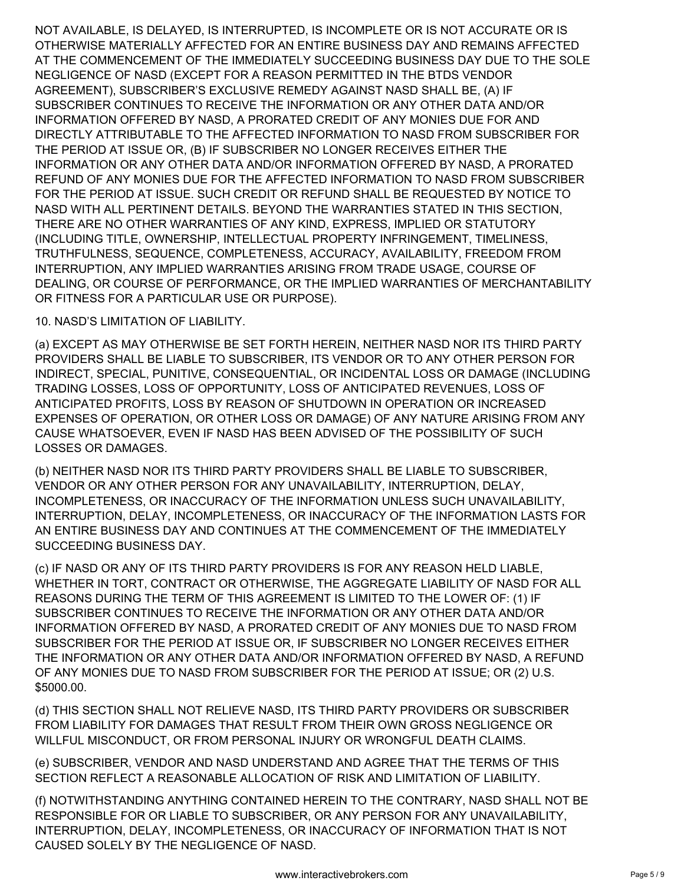NOT AVAILABLE, IS DELAYED, IS INTERRUPTED, IS INCOMPLETE OR IS NOT ACCURATE OR IS OTHERWISE MATERIALLY AFFECTED FOR AN ENTIRE BUSINESS DAY AND REMAINS AFFECTED AT THE COMMENCEMENT OF THE IMMEDIATELY SUCCEEDING BUSINESS DAY DUE TO THE SOLE NEGLIGENCE OF NASD (EXCEPT FOR A REASON PERMITTED IN THE BTDS VENDOR AGREEMENT), SUBSCRIBER'S EXCLUSIVE REMEDY AGAINST NASD SHALL BE, (A) IF SUBSCRIBER CONTINUES TO RECEIVE THE INFORMATION OR ANY OTHER DATA AND/OR INFORMATION OFFERED BY NASD, A PRORATED CREDIT OF ANY MONIES DUE FOR AND DIRECTLY ATTRIBUTABLE TO THE AFFECTED INFORMATION TO NASD FROM SUBSCRIBER FOR THE PERIOD AT ISSUE OR, (B) IF SUBSCRIBER NO LONGER RECEIVES EITHER THE INFORMATION OR ANY OTHER DATA AND/OR INFORMATION OFFERED BY NASD, A PRORATED REFUND OF ANY MONIES DUE FOR THE AFFECTED INFORMATION TO NASD FROM SUBSCRIBER FOR THE PERIOD AT ISSUE. SUCH CREDIT OR REFUND SHALL BE REQUESTED BY NOTICE TO NASD WITH ALL PERTINENT DETAILS. BEYOND THE WARRANTIES STATED IN THIS SECTION, THERE ARE NO OTHER WARRANTIES OF ANY KIND, EXPRESS, IMPLIED OR STATUTORY (INCLUDING TITLE, OWNERSHIP, INTELLECTUAL PROPERTY INFRINGEMENT, TIMELINESS, TRUTHFULNESS, SEQUENCE, COMPLETENESS, ACCURACY, AVAILABILITY, FREEDOM FROM INTERRUPTION, ANY IMPLIED WARRANTIES ARISING FROM TRADE USAGE, COURSE OF DEALING, OR COURSE OF PERFORMANCE, OR THE IMPLIED WARRANTIES OF MERCHANTABILITY OR FITNESS FOR A PARTICULAR USE OR PURPOSE).

# 10. NASD'S LIMITATION OF LIABILITY.

(a) EXCEPT AS MAY OTHERWISE BE SET FORTH HEREIN, NEITHER NASD NOR ITS THIRD PARTY PROVIDERS SHALL BE LIABLE TO SUBSCRIBER, ITS VENDOR OR TO ANY OTHER PERSON FOR INDIRECT, SPECIAL, PUNITIVE, CONSEQUENTIAL, OR INCIDENTAL LOSS OR DAMAGE (INCLUDING TRADING LOSSES, LOSS OF OPPORTUNITY, LOSS OF ANTICIPATED REVENUES, LOSS OF ANTICIPATED PROFITS, LOSS BY REASON OF SHUTDOWN IN OPERATION OR INCREASED EXPENSES OF OPERATION, OR OTHER LOSS OR DAMAGE) OF ANY NATURE ARISING FROM ANY CAUSE WHATSOEVER, EVEN IF NASD HAS BEEN ADVISED OF THE POSSIBILITY OF SUCH LOSSES OR DAMAGES.

(b) NEITHER NASD NOR ITS THIRD PARTY PROVIDERS SHALL BE LIABLE TO SUBSCRIBER, VENDOR OR ANY OTHER PERSON FOR ANY UNAVAILABILITY, INTERRUPTION, DELAY, INCOMPLETENESS, OR INACCURACY OF THE INFORMATION UNLESS SUCH UNAVAILABILITY, INTERRUPTION, DELAY, INCOMPLETENESS, OR INACCURACY OF THE INFORMATION LASTS FOR AN ENTIRE BUSINESS DAY AND CONTINUES AT THE COMMENCEMENT OF THE IMMEDIATELY SUCCEEDING BUSINESS DAY.

(c) IF NASD OR ANY OF ITS THIRD PARTY PROVIDERS IS FOR ANY REASON HELD LIABLE, WHETHER IN TORT, CONTRACT OR OTHERWISE, THE AGGREGATE LIABILITY OF NASD FOR ALL REASONS DURING THE TERM OF THIS AGREEMENT IS LIMITED TO THE LOWER OF: (1) IF SUBSCRIBER CONTINUES TO RECEIVE THE INFORMATION OR ANY OTHER DATA AND/OR INFORMATION OFFERED BY NASD, A PRORATED CREDIT OF ANY MONIES DUE TO NASD FROM SUBSCRIBER FOR THE PERIOD AT ISSUE OR, IF SUBSCRIBER NO LONGER RECEIVES EITHER THE INFORMATION OR ANY OTHER DATA AND/OR INFORMATION OFFERED BY NASD, A REFUND OF ANY MONIES DUE TO NASD FROM SUBSCRIBER FOR THE PERIOD AT ISSUE; OR (2) U.S. \$5000.00.

(d) THIS SECTION SHALL NOT RELIEVE NASD, ITS THIRD PARTY PROVIDERS OR SUBSCRIBER FROM LIABILITY FOR DAMAGES THAT RESULT FROM THEIR OWN GROSS NEGLIGENCE OR WILLFUL MISCONDUCT, OR FROM PERSONAL INJURY OR WRONGFUL DEATH CLAIMS.

(e) SUBSCRIBER, VENDOR AND NASD UNDERSTAND AND AGREE THAT THE TERMS OF THIS SECTION REFLECT A REASONABLE ALLOCATION OF RISK AND LIMITATION OF LIABILITY.

(f) NOTWITHSTANDING ANYTHING CONTAINED HEREIN TO THE CONTRARY, NASD SHALL NOT BE RESPONSIBLE FOR OR LIABLE TO SUBSCRIBER, OR ANY PERSON FOR ANY UNAVAILABILITY, INTERRUPTION, DELAY, INCOMPLETENESS, OR INACCURACY OF INFORMATION THAT IS NOT CAUSED SOLELY BY THE NEGLIGENCE OF NASD.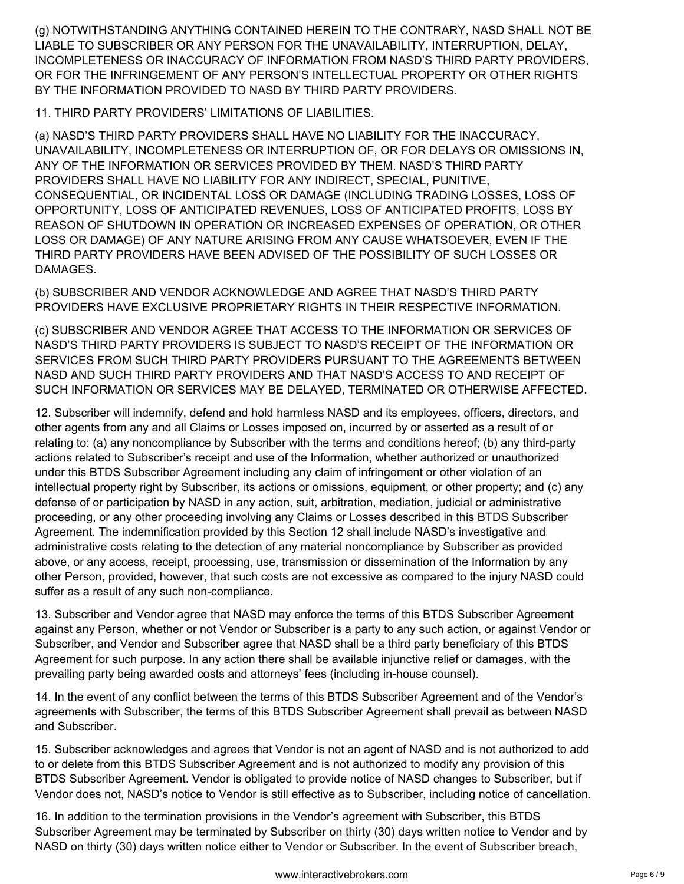(g) NOTWITHSTANDING ANYTHING CONTAINED HEREIN TO THE CONTRARY, NASD SHALL NOT BE LIABLE TO SUBSCRIBER OR ANY PERSON FOR THE UNAVAILABILITY, INTERRUPTION, DELAY, INCOMPLETENESS OR INACCURACY OF INFORMATION FROM NASD'S THIRD PARTY PROVIDERS, OR FOR THE INFRINGEMENT OF ANY PERSON'S INTELLECTUAL PROPERTY OR OTHER RIGHTS BY THE INFORMATION PROVIDED TO NASD BY THIRD PARTY PROVIDERS.

11. THIRD PARTY PROVIDERS' LIMITATIONS OF LIABILITIES.

(a) NASD'S THIRD PARTY PROVIDERS SHALL HAVE NO LIABILITY FOR THE INACCURACY, UNAVAILABILITY, INCOMPLETENESS OR INTERRUPTION OF, OR FOR DELAYS OR OMISSIONS IN, ANY OF THE INFORMATION OR SERVICES PROVIDED BY THEM. NASD'S THIRD PARTY PROVIDERS SHALL HAVE NO LIABILITY FOR ANY INDIRECT, SPECIAL, PUNITIVE, CONSEQUENTIAL, OR INCIDENTAL LOSS OR DAMAGE (INCLUDING TRADING LOSSES, LOSS OF OPPORTUNITY, LOSS OF ANTICIPATED REVENUES, LOSS OF ANTICIPATED PROFITS, LOSS BY REASON OF SHUTDOWN IN OPERATION OR INCREASED EXPENSES OF OPERATION, OR OTHER LOSS OR DAMAGE) OF ANY NATURE ARISING FROM ANY CAUSE WHATSOEVER, EVEN IF THE THIRD PARTY PROVIDERS HAVE BEEN ADVISED OF THE POSSIBILITY OF SUCH LOSSES OR DAMAGES.

(b) SUBSCRIBER AND VENDOR ACKNOWLEDGE AND AGREE THAT NASD'S THIRD PARTY PROVIDERS HAVE EXCLUSIVE PROPRIETARY RIGHTS IN THEIR RESPECTIVE INFORMATION.

(c) SUBSCRIBER AND VENDOR AGREE THAT ACCESS TO THE INFORMATION OR SERVICES OF NASD'S THIRD PARTY PROVIDERS IS SUBJECT TO NASD'S RECEIPT OF THE INFORMATION OR SERVICES FROM SUCH THIRD PARTY PROVIDERS PURSUANT TO THE AGREEMENTS BETWEEN NASD AND SUCH THIRD PARTY PROVIDERS AND THAT NASD'S ACCESS TO AND RECEIPT OF SUCH INFORMATION OR SERVICES MAY BE DELAYED, TERMINATED OR OTHERWISE AFFECTED.

12. Subscriber will indemnify, defend and hold harmless NASD and its employees, officers, directors, and other agents from any and all Claims or Losses imposed on, incurred by or asserted as a result of or relating to: (a) any noncompliance by Subscriber with the terms and conditions hereof; (b) any third-party actions related to Subscriber's receipt and use of the Information, whether authorized or unauthorized under this BTDS Subscriber Agreement including any claim of infringement or other violation of an intellectual property right by Subscriber, its actions or omissions, equipment, or other property; and (c) any defense of or participation by NASD in any action, suit, arbitration, mediation, judicial or administrative proceeding, or any other proceeding involving any Claims or Losses described in this BTDS Subscriber Agreement. The indemnification provided by this Section 12 shall include NASD's investigative and administrative costs relating to the detection of any material noncompliance by Subscriber as provided above, or any access, receipt, processing, use, transmission or dissemination of the Information by any other Person, provided, however, that such costs are not excessive as compared to the injury NASD could suffer as a result of any such non-compliance.

13. Subscriber and Vendor agree that NASD may enforce the terms of this BTDS Subscriber Agreement against any Person, whether or not Vendor or Subscriber is a party to any such action, or against Vendor or Subscriber, and Vendor and Subscriber agree that NASD shall be a third party beneficiary of this BTDS Agreement for such purpose. In any action there shall be available injunctive relief or damages, with the prevailing party being awarded costs and attorneys' fees (including in-house counsel).

14. In the event of any conflict between the terms of this BTDS Subscriber Agreement and of the Vendor's agreements with Subscriber, the terms of this BTDS Subscriber Agreement shall prevail as between NASD and Subscriber.

15. Subscriber acknowledges and agrees that Vendor is not an agent of NASD and is not authorized to add to or delete from this BTDS Subscriber Agreement and is not authorized to modify any provision of this BTDS Subscriber Agreement. Vendor is obligated to provide notice of NASD changes to Subscriber, but if Vendor does not, NASD's notice to Vendor is still effective as to Subscriber, including notice of cancellation.

16. In addition to the termination provisions in the Vendor's agreement with Subscriber, this BTDS Subscriber Agreement may be terminated by Subscriber on thirty (30) days written notice to Vendor and by NASD on thirty (30) days written notice either to Vendor or Subscriber. In the event of Subscriber breach,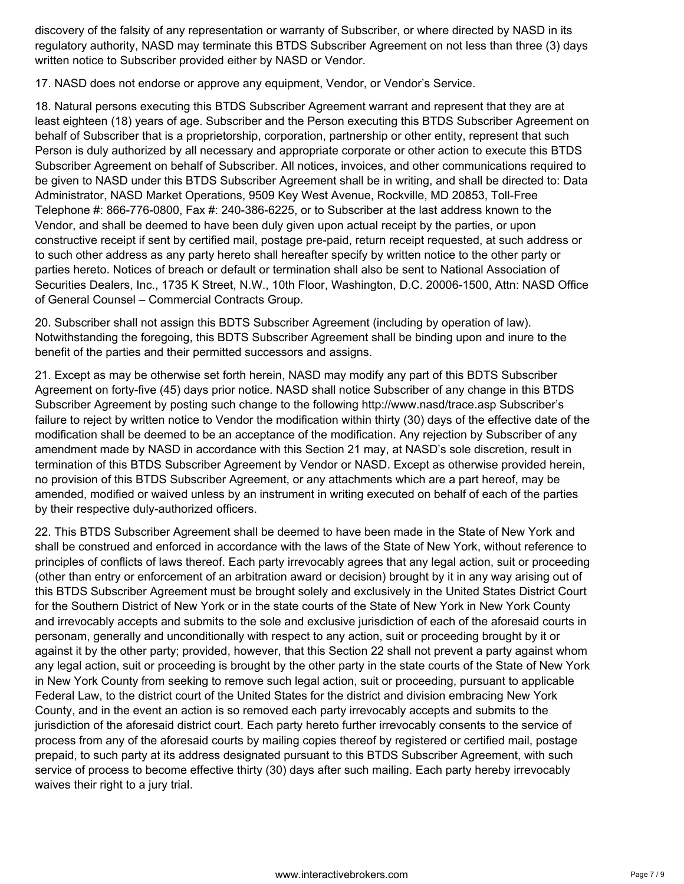discovery of the falsity of any representation or warranty of Subscriber, or where directed by NASD in its regulatory authority, NASD may terminate this BTDS Subscriber Agreement on not less than three (3) days written notice to Subscriber provided either by NASD or Vendor.

17. NASD does not endorse or approve any equipment, Vendor, or Vendor's Service.

18. Natural persons executing this BTDS Subscriber Agreement warrant and represent that they are at least eighteen (18) years of age. Subscriber and the Person executing this BTDS Subscriber Agreement on behalf of Subscriber that is a proprietorship, corporation, partnership or other entity, represent that such Person is duly authorized by all necessary and appropriate corporate or other action to execute this BTDS Subscriber Agreement on behalf of Subscriber. All notices, invoices, and other communications required to be given to NASD under this BTDS Subscriber Agreement shall be in writing, and shall be directed to: Data Administrator, NASD Market Operations, 9509 Key West Avenue, Rockville, MD 20853, Toll-Free Telephone #: 866-776-0800, Fax #: 240-386-6225, or to Subscriber at the last address known to the Vendor, and shall be deemed to have been duly given upon actual receipt by the parties, or upon constructive receipt if sent by certified mail, postage pre-paid, return receipt requested, at such address or to such other address as any party hereto shall hereafter specify by written notice to the other party or parties hereto. Notices of breach or default or termination shall also be sent to National Association of Securities Dealers, Inc., 1735 K Street, N.W., 10th Floor, Washington, D.C. 20006-1500, Attn: NASD Office of General Counsel – Commercial Contracts Group.

20. Subscriber shall not assign this BDTS Subscriber Agreement (including by operation of law). Notwithstanding the foregoing, this BDTS Subscriber Agreement shall be binding upon and inure to the benefit of the parties and their permitted successors and assigns.

21. Except as may be otherwise set forth herein, NASD may modify any part of this BDTS Subscriber Agreement on forty-five (45) days prior notice. NASD shall notice Subscriber of any change in this BTDS Subscriber Agreement by posting such change to the following http://www.nasd/trace.asp Subscriber's failure to reject by written notice to Vendor the modification within thirty (30) days of the effective date of the modification shall be deemed to be an acceptance of the modification. Any rejection by Subscriber of any amendment made by NASD in accordance with this Section 21 may, at NASD's sole discretion, result in termination of this BTDS Subscriber Agreement by Vendor or NASD. Except as otherwise provided herein, no provision of this BTDS Subscriber Agreement, or any attachments which are a part hereof, may be amended, modified or waived unless by an instrument in writing executed on behalf of each of the parties by their respective duly-authorized officers.

22. This BTDS Subscriber Agreement shall be deemed to have been made in the State of New York and shall be construed and enforced in accordance with the laws of the State of New York, without reference to principles of conflicts of laws thereof. Each party irrevocably agrees that any legal action, suit or proceeding (other than entry or enforcement of an arbitration award or decision) brought by it in any way arising out of this BTDS Subscriber Agreement must be brought solely and exclusively in the United States District Court for the Southern District of New York or in the state courts of the State of New York in New York County and irrevocably accepts and submits to the sole and exclusive jurisdiction of each of the aforesaid courts in personam, generally and unconditionally with respect to any action, suit or proceeding brought by it or against it by the other party; provided, however, that this Section 22 shall not prevent a party against whom any legal action, suit or proceeding is brought by the other party in the state courts of the State of New York in New York County from seeking to remove such legal action, suit or proceeding, pursuant to applicable Federal Law, to the district court of the United States for the district and division embracing New York County, and in the event an action is so removed each party irrevocably accepts and submits to the jurisdiction of the aforesaid district court. Each party hereto further irrevocably consents to the service of process from any of the aforesaid courts by mailing copies thereof by registered or certified mail, postage prepaid, to such party at its address designated pursuant to this BTDS Subscriber Agreement, with such service of process to become effective thirty (30) days after such mailing. Each party hereby irrevocably waives their right to a jury trial.